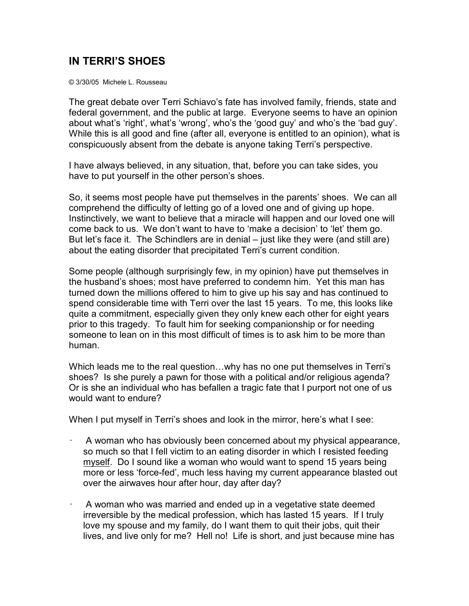## **IN TERRI'S SHOES**

© 3/30/05 Michele L. Rousseau

The great debate over Terri Schiavo's fate has involved family, friends, state and federal government, and the public at large. Everyone seems to have an opinion about what's 'right', what's 'wrong', who's the 'good guy' and who's the 'bad guy'. While this is all good and fine (after all, everyone is entitled to an opinion), what is conspicuously absent from the debate is anyone taking Terri's perspective.

I have always believed, in any situation, that, before you can take sides, you have to put yourself in the other person's shoes.

So, it seems most people have put themselves in the parents' shoes. We can all comprehend the difficulty of letting go of a loved one and of giving up hope. Instinctively, we want to believe that a miracle will happen and our loved one will come back to us. We don't want to have to 'make a decision' to 'let' them go. But let's face it. The Schindlers are in denial – just like they were (and still are) about the eating disorder that precipitated Terri's current condition.

Some people (although surprisingly few, in my opinion) have put themselves in the husband's shoes; most have preferred to condemn him. Yet this man has turned down the millions offered to him to give up his say and has continued to spend considerable time with Terri over the last 15 years. To me, this looks like quite a commitment, especially given they only knew each other for eight years prior to this tragedy. To fault him for seeking companionship or for needing someone to lean on in this most difficult of times is to ask him to be more than human.

Which leads me to the real question...why has no one put themselves in Terri's shoes? Is she purely a pawn for those with a political and/or religious agenda? Or is she an individual who has befallen a tragic fate that I purport not one of us would want to endure?

When I put myself in Terri's shoes and look in the mirror, here's what I see:

- A woman who has obviously been concerned about my physical appearance, so much so that I fell victim to an eating disorder in which I resisted feeding myself. Do I sound like a woman who would want to spend 15 years being more or less 'force-fed', much less having my current appearance blasted out over the airwaves hour after hour, day after day?
- A woman who was married and ended up in a vegetative state deemed irreversible by the medical profession, which has lasted 15 years. If I truly love my spouse and my family, do I want them to quit their jobs, quit their lives, and live only for me? Hell no! Life is short, and just because mine has